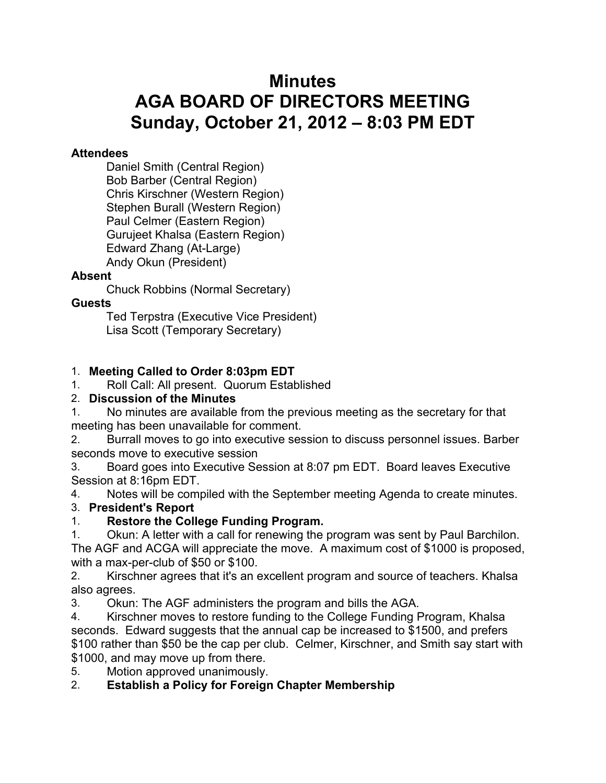# **Minutes AGA BOARD OF DIRECTORS MEETING Sunday, October 21, 2012 – 8:03 PM EDT**

#### **Attendees**

Daniel Smith (Central Region) Bob Barber (Central Region) Chris Kirschner (Western Region) Stephen Burall (Western Region) Paul Celmer (Eastern Region) Gurujeet Khalsa (Eastern Region) Edward Zhang (At-Large) Andy Okun (President)

### **Absent**

Chuck Robbins (Normal Secretary)

### **Guests**

Ted Terpstra (Executive Vice President) Lisa Scott (Temporary Secretary)

### 1. **Meeting Called to Order 8:03pm EDT**

1. Roll Call: All present. Quorum Established

### 2. **Discussion of the Minutes**

1. No minutes are available from the previous meeting as the secretary for that meeting has been unavailable for comment.

2. Burrall moves to go into executive session to discuss personnel issues. Barber seconds move to executive session

3. Board goes into Executive Session at 8:07 pm EDT. Board leaves Executive Session at 8:16pm EDT.

4. Notes will be compiled with the September meeting Agenda to create minutes.

# 3. **President's Report**

1. **Restore the College Funding Program.**

1. Okun: A letter with a call for renewing the program was sent by Paul Barchilon. The AGF and ACGA will appreciate the move. A maximum cost of \$1000 is proposed, with a max-per-club of \$50 or \$100.

2. Kirschner agrees that it's an excellent program and source of teachers. Khalsa also agrees.

3. Okun: The AGF administers the program and bills the AGA.

4. Kirschner moves to restore funding to the College Funding Program, Khalsa seconds. Edward suggests that the annual cap be increased to \$1500, and prefers \$100 rather than \$50 be the cap per club. Celmer, Kirschner, and Smith say start with \$1000, and may move up from there.

5. Motion approved unanimously.

### 2. **Establish a Policy for Foreign Chapter Membership**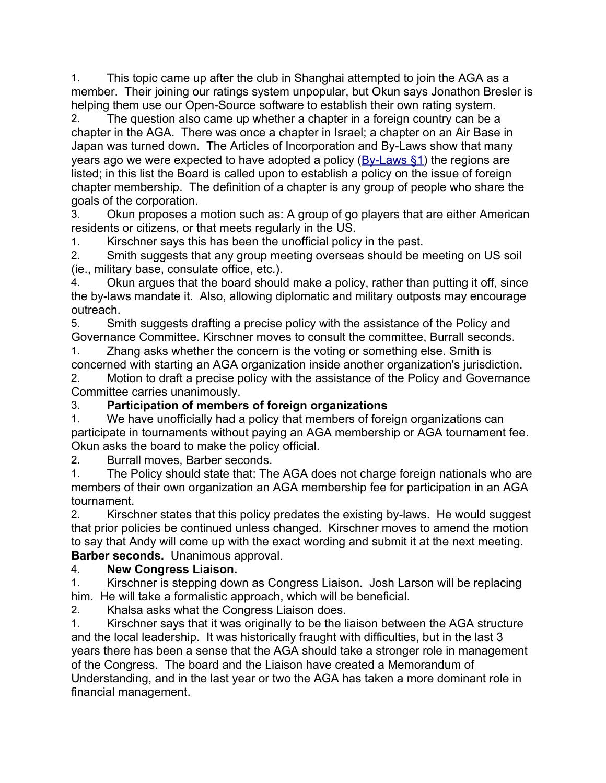1. This topic came up after the club in Shanghai attempted to join the AGA as a member. Their joining our ratings system unpopular, but Okun says Jonathon Bresler is helping them use our Open-Source software to establish their own rating system.

2. The question also came up whether a chapter in a foreign country can be a chapter in the AGA. There was once a chapter in Israel; a chapter on an Air Base in Japan was turned down. The Articles of Incorporation and By-Laws show that many years ago we were expected to have adopted a policy  $(Bv-Laws \$  1) the regions are listed; in this list the Board is called upon to establish a policy on the issue of foreign chapter membership. The definition of a chapter is any group of people who share the goals of the corporation.

3. Okun proposes a motion such as: A group of go players that are either American residents or citizens, or that meets regularly in the US.

1. Kirschner says this has been the unofficial policy in the past.

2. Smith suggests that any group meeting overseas should be meeting on US soil (ie., military base, consulate office, etc.).

4. Okun argues that the board should make a policy, rather than putting it off, since the by-laws mandate it. Also, allowing diplomatic and military outposts may encourage outreach.

5. Smith suggests drafting a precise policy with the assistance of the Policy and Governance Committee. Kirschner moves to consult the committee, Burrall seconds.

1. Zhang asks whether the concern is the voting or something else. Smith is concerned with starting an AGA organization inside another organization's jurisdiction.

2. Motion to draft a precise policy with the assistance of the Policy and Governance Committee carries unanimously.

# 3. **Participation of members of foreign organizations**

1. We have unofficially had a policy that members of foreign organizations can participate in tournaments without paying an AGA membership or AGA tournament fee. Okun asks the board to make the policy official.

2. Burrall moves, Barber seconds.

1. The Policy should state that: The AGA does not charge foreign nationals who are members of their own organization an AGA membership fee for participation in an AGA tournament.

2. Kirschner states that this policy predates the existing by-laws. He would suggest that prior policies be continued unless changed. Kirschner moves to amend the motion to say that Andy will come up with the exact wording and submit it at the next meeting. **Barber seconds.** Unanimous approval.

### 4. **New Congress Liaison.**

1. Kirschner is stepping down as Congress Liaison. Josh Larson will be replacing him. He will take a formalistic approach, which will be beneficial.

2. Khalsa asks what the Congress Liaison does.

1. Kirschner says that it was originally to be the liaison between the AGA structure and the local leadership. It was historically fraught with difficulties, but in the last 3 years there has been a sense that the AGA should take a stronger role in management of the Congress. The board and the Liaison have created a Memorandum of Understanding, and in the last year or two the AGA has taken a more dominant role in financial management.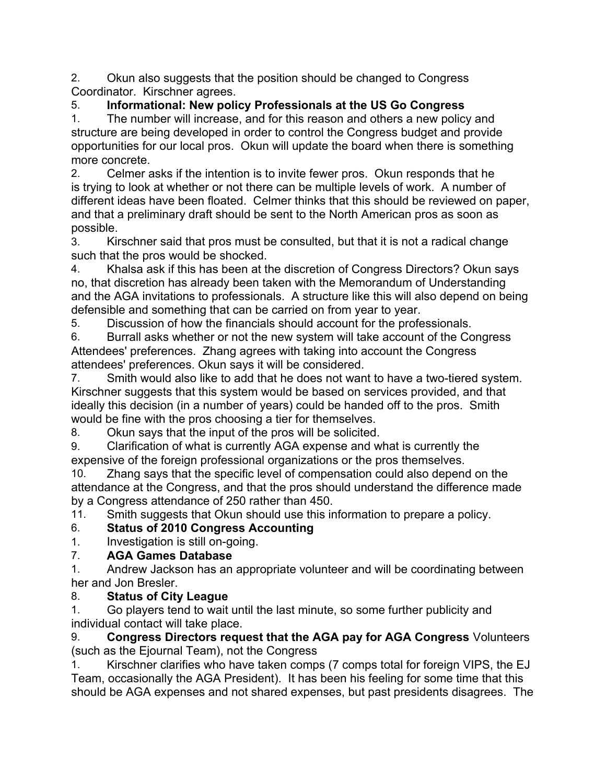2. Okun also suggests that the position should be changed to Congress Coordinator. Kirschner agrees.

# 5. **Informational: New policy Professionals at the US Go Congress**

1. The number will increase, and for this reason and others a new policy and structure are being developed in order to control the Congress budget and provide opportunities for our local pros. Okun will update the board when there is something more concrete.

2. Celmer asks if the intention is to invite fewer pros. Okun responds that he is trying to look at whether or not there can be multiple levels of work. A number of different ideas have been floated. Celmer thinks that this should be reviewed on paper, and that a preliminary draft should be sent to the North American pros as soon as possible.

3. Kirschner said that pros must be consulted, but that it is not a radical change such that the pros would be shocked.

4. Khalsa ask if this has been at the discretion of Congress Directors? Okun says no, that discretion has already been taken with the Memorandum of Understanding and the AGA invitations to professionals. A structure like this will also depend on being defensible and something that can be carried on from year to year.

5. Discussion of how the financials should account for the professionals.

6. Burrall asks whether or not the new system will take account of the Congress Attendees' preferences. Zhang agrees with taking into account the Congress attendees' preferences. Okun says it will be considered.

7. Smith would also like to add that he does not want to have a two-tiered system. Kirschner suggests that this system would be based on services provided, and that ideally this decision (in a number of years) could be handed off to the pros. Smith would be fine with the pros choosing a tier for themselves.

8. Okun says that the input of the pros will be solicited.

9. Clarification of what is currently AGA expense and what is currently the expensive of the foreign professional organizations or the pros themselves.

10. Zhang says that the specific level of compensation could also depend on the attendance at the Congress, and that the pros should understand the difference made by a Congress attendance of 250 rather than 450.

11. Smith suggests that Okun should use this information to prepare a policy.

# 6. **Status of 2010 Congress Accounting**

1. Investigation is still on-going.

# 7. **AGA Games Database**

1. Andrew Jackson has an appropriate volunteer and will be coordinating between her and Jon Bresler.

# 8. **Status of City League**

1. Go players tend to wait until the last minute, so some further publicity and individual contact will take place.

9. **Congress Directors request that the AGA pay for AGA Congress** Volunteers (such as the Ejournal Team), not the Congress

1. Kirschner clarifies who have taken comps (7 comps total for foreign VIPS, the EJ Team, occasionally the AGA President). It has been his feeling for some time that this should be AGA expenses and not shared expenses, but past presidents disagrees. The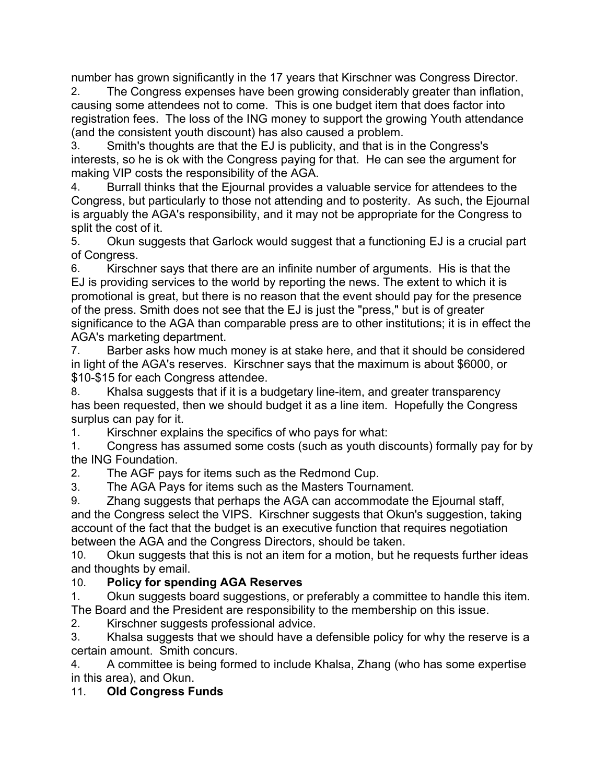number has grown significantly in the 17 years that Kirschner was Congress Director.

2. The Congress expenses have been growing considerably greater than inflation, causing some attendees not to come. This is one budget item that does factor into registration fees. The loss of the ING money to support the growing Youth attendance (and the consistent youth discount) has also caused a problem.

3. Smith's thoughts are that the EJ is publicity, and that is in the Congress's interests, so he is ok with the Congress paying for that. He can see the argument for making VIP costs the responsibility of the AGA.

4. Burrall thinks that the Ejournal provides a valuable service for attendees to the Congress, but particularly to those not attending and to posterity. As such, the Ejournal is arguably the AGA's responsibility, and it may not be appropriate for the Congress to split the cost of it.

5. Okun suggests that Garlock would suggest that a functioning EJ is a crucial part of Congress.

6. Kirschner says that there are an infinite number of arguments. His is that the EJ is providing services to the world by reporting the news. The extent to which it is promotional is great, but there is no reason that the event should pay for the presence of the press. Smith does not see that the EJ is just the "press," but is of greater significance to the AGA than comparable press are to other institutions; it is in effect the AGA's marketing department.

7. Barber asks how much money is at stake here, and that it should be considered in light of the AGA's reserves. Kirschner says that the maximum is about \$6000, or \$10-\$15 for each Congress attendee.

8. Khalsa suggests that if it is a budgetary line-item, and greater transparency has been requested, then we should budget it as a line item. Hopefully the Congress surplus can pay for it.

1. Kirschner explains the specifics of who pays for what:

1. Congress has assumed some costs (such as youth discounts) formally pay for by the ING Foundation.

2. The AGF pays for items such as the Redmond Cup.

3. The AGA Pays for items such as the Masters Tournament.

9. Zhang suggests that perhaps the AGA can accommodate the Ejournal staff, and the Congress select the VIPS. Kirschner suggests that Okun's suggestion, taking account of the fact that the budget is an executive function that requires negotiation between the AGA and the Congress Directors, should be taken.

10. Okun suggests that this is not an item for a motion, but he requests further ideas and thoughts by email.

# 10. **Policy for spending AGA Reserves**

1. Okun suggests board suggestions, or preferably a committee to handle this item. The Board and the President are responsibility to the membership on this issue.

2. Kirschner suggests professional advice.

3. Khalsa suggests that we should have a defensible policy for why the reserve is a certain amount. Smith concurs.

4. A committee is being formed to include Khalsa, Zhang (who has some expertise in this area), and Okun.

# 11. **Old Congress Funds**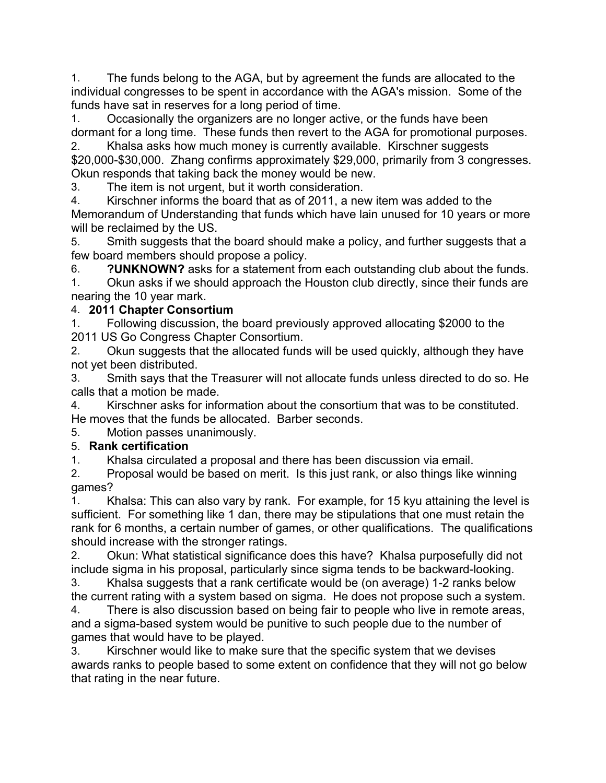1. The funds belong to the AGA, but by agreement the funds are allocated to the individual congresses to be spent in accordance with the AGA's mission. Some of the funds have sat in reserves for a long period of time.

1. Occasionally the organizers are no longer active, or the funds have been dormant for a long time. These funds then revert to the AGA for promotional purposes.

2. Khalsa asks how much money is currently available. Kirschner suggests \$20,000-\$30,000. Zhang confirms approximately \$29,000, primarily from 3 congresses. Okun responds that taking back the money would be new.

3. The item is not urgent, but it worth consideration.

4. Kirschner informs the board that as of 2011, a new item was added to the Memorandum of Understanding that funds which have lain unused for 10 years or more will be reclaimed by the US.

5. Smith suggests that the board should make a policy, and further suggests that a few board members should propose a policy.

6. **?UNKNOWN?** asks for a statement from each outstanding club about the funds.

1. Okun asks if we should approach the Houston club directly, since their funds are nearing the 10 year mark.

# 4. **2011 Chapter Consortium**

1. Following discussion, the board previously approved allocating \$2000 to the 2011 US Go Congress Chapter Consortium.

2. Okun suggests that the allocated funds will be used quickly, although they have not yet been distributed.

3. Smith says that the Treasurer will not allocate funds unless directed to do so. He calls that a motion be made.

4. Kirschner asks for information about the consortium that was to be constituted. He moves that the funds be allocated. Barber seconds.

5. Motion passes unanimously.

# 5. **Rank certification**

1. Khalsa circulated a proposal and there has been discussion via email.

2. Proposal would be based on merit. Is this just rank, or also things like winning games?

1. Khalsa: This can also vary by rank. For example, for 15 kyu attaining the level is sufficient. For something like 1 dan, there may be stipulations that one must retain the rank for 6 months, a certain number of games, or other qualifications. The qualifications should increase with the stronger ratings.

2. Okun: What statistical significance does this have? Khalsa purposefully did not include sigma in his proposal, particularly since sigma tends to be backward-looking.

3. Khalsa suggests that a rank certificate would be (on average) 1-2 ranks below the current rating with a system based on sigma. He does not propose such a system.

4. There is also discussion based on being fair to people who live in remote areas, and a sigma-based system would be punitive to such people due to the number of games that would have to be played.

3. Kirschner would like to make sure that the specific system that we devises awards ranks to people based to some extent on confidence that they will not go below that rating in the near future.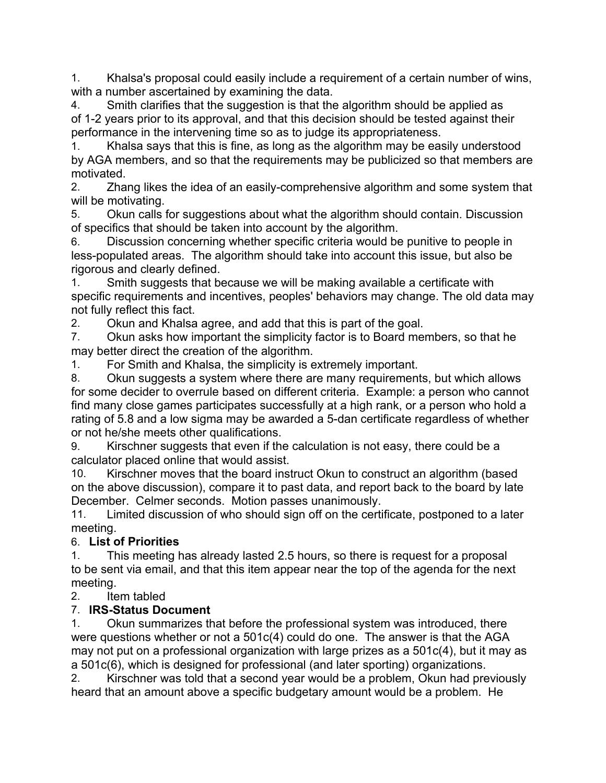1. Khalsa's proposal could easily include a requirement of a certain number of wins, with a number ascertained by examining the data.

4. Smith clarifies that the suggestion is that the algorithm should be applied as of 1-2 years prior to its approval, and that this decision should be tested against their performance in the intervening time so as to judge its appropriateness.

1. Khalsa says that this is fine, as long as the algorithm may be easily understood by AGA members, and so that the requirements may be publicized so that members are motivated.

2. Zhang likes the idea of an easily-comprehensive algorithm and some system that will be motivating.

5. Okun calls for suggestions about what the algorithm should contain. Discussion of specifics that should be taken into account by the algorithm.

6. Discussion concerning whether specific criteria would be punitive to people in less-populated areas. The algorithm should take into account this issue, but also be rigorous and clearly defined.

1. Smith suggests that because we will be making available a certificate with specific requirements and incentives, peoples' behaviors may change. The old data may not fully reflect this fact.

2. Okun and Khalsa agree, and add that this is part of the goal.

7. Okun asks how important the simplicity factor is to Board members, so that he may better direct the creation of the algorithm.

1. For Smith and Khalsa, the simplicity is extremely important.

8. Okun suggests a system where there are many requirements, but which allows for some decider to overrule based on different criteria. Example: a person who cannot find many close games participates successfully at a high rank, or a person who hold a rating of 5.8 and a low sigma may be awarded a 5-dan certificate regardless of whether or not he/she meets other qualifications.

9. Kirschner suggests that even if the calculation is not easy, there could be a calculator placed online that would assist.

10. Kirschner moves that the board instruct Okun to construct an algorithm (based on the above discussion), compare it to past data, and report back to the board by late December. Celmer seconds. Motion passes unanimously.

11. Limited discussion of who should sign off on the certificate, postponed to a later meeting.

# 6. **List of Priorities**

1. This meeting has already lasted 2.5 hours, so there is request for a proposal to be sent via email, and that this item appear near the top of the agenda for the next meeting.

# 2. Item tabled

# 7. **IRS-Status Document**

1. Okun summarizes that before the professional system was introduced, there were questions whether or not a 501c(4) could do one. The answer is that the AGA may not put on a professional organization with large prizes as a 501c(4), but it may as a 501c(6), which is designed for professional (and later sporting) organizations.

2. Kirschner was told that a second year would be a problem, Okun had previously heard that an amount above a specific budgetary amount would be a problem. He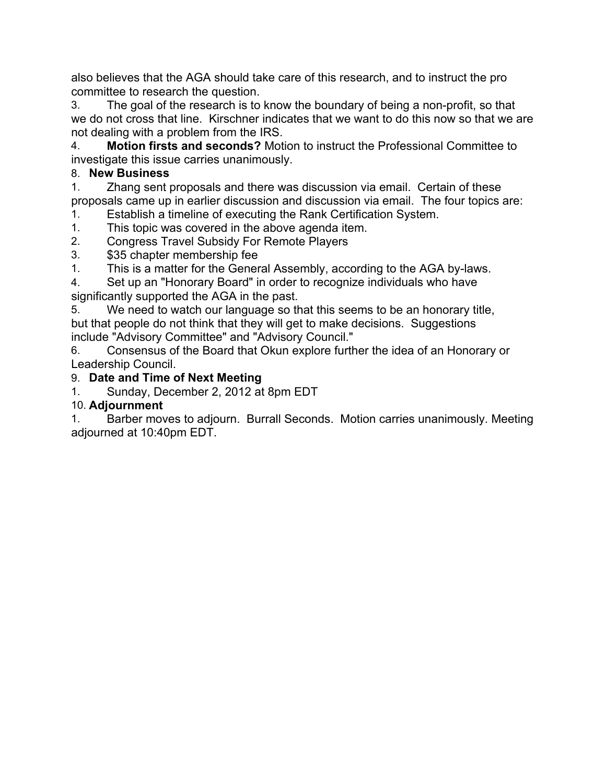also believes that the AGA should take care of this research, and to instruct the pro committee to research the question.

3. The goal of the research is to know the boundary of being a non-profit, so that we do not cross that line. Kirschner indicates that we want to do this now so that we are not dealing with a problem from the IRS.

4. **Motion firsts and seconds?** Motion to instruct the Professional Committee to investigate this issue carries unanimously.

# 8. **New Business**

1. Zhang sent proposals and there was discussion via email. Certain of these proposals came up in earlier discussion and discussion via email. The four topics are:

1. Establish a timeline of executing the Rank Certification System.

- 1. This topic was covered in the above agenda item.
- 2. Congress Travel Subsidy For Remote Players
- 3. \$35 chapter membership fee

1. This is a matter for the General Assembly, according to the AGA by-laws.

4. Set up an "Honorary Board" in order to recognize individuals who have significantly supported the AGA in the past.

5. We need to watch our language so that this seems to be an honorary title, but that people do not think that they will get to make decisions. Suggestions include "Advisory Committee" and "Advisory Council."

6. Consensus of the Board that Okun explore further the idea of an Honorary or Leadership Council.

# 9. **Date and Time of Next Meeting**

1. Sunday, December 2, 2012 at 8pm EDT

# 10. **Adjournment**

1. Barber moves to adjourn. Burrall Seconds. Motion carries unanimously. Meeting adjourned at 10:40pm EDT.